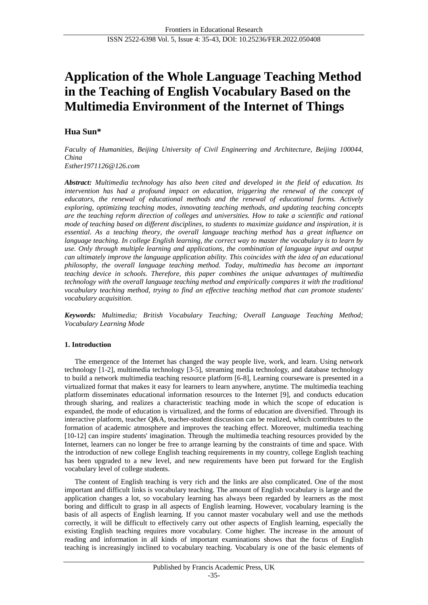# **Application of the Whole Language Teaching Method in the Teaching of English Vocabulary Based on the Multimedia Environment of the Internet of Things**

# **Hua Sun\***

*Faculty of Humanities, Beijing University of Civil Engineering and Architecture, Beijing 100044, China Esther1971126@126.com*

*Abstract: Multimedia technology has also been cited and developed in the field of education. Its intervention has had a profound impact on education, triggering the renewal of the concept of educators, the renewal of educational methods and the renewal of educational forms. Actively exploring, optimizing teaching modes, innovating teaching methods, and updating teaching concepts are the teaching reform direction of colleges and universities. How to take a scientific and rational mode of teaching based on different disciplines, to students to maximize guidance and inspiration, it is essential. As a teaching theory, the overall language teaching method has a great influence on language teaching. In college English learning, the correct way to master the vocabulary is to learn by use. Only through multiple learning and applications, the combination of language input and output can ultimately improve the language application ability. This coincides with the idea of an educational philosophy, the overall language teaching method. Today, multimedia has become an important teaching device in schools. Therefore, this paper combines the unique advantages of multimedia technology with the overall language teaching method and empirically compares it with the traditional vocabulary teaching method, trying to find an effective teaching method that can promote students' vocabulary acquisition.*

*Keywords: Multimedia; British Vocabulary Teaching; Overall Language Teaching Method; Vocabulary Learning Mode*

## **1. Introduction**

The emergence of the Internet has changed the way people live, work, and learn. Using network technology [1-2], multimedia technology [3-5], streaming media technology, and database technology to build a network multimedia teaching resource platform [6-8], Learning courseware is presented in a virtualized format that makes it easy for learners to learn anywhere, anytime. The multimedia teaching platform disseminates educational information resources to the Internet [9], and conducts education through sharing, and realizes a characteristic teaching mode in which the scope of education is expanded, the mode of education is virtualized, and the forms of education are diversified. Through its interactive platform, teacher Q&A, teacher-student discussion can be realized, which contributes to the formation of academic atmosphere and improves the teaching effect. Moreover, multimedia teaching [10-12] can inspire students' imagination. Through the multimedia teaching resources provided by the Internet, learners can no longer be free to arrange learning by the constraints of time and space. With the introduction of new college English teaching requirements in my country, college English teaching has been upgraded to a new level, and new requirements have been put forward for the English vocabulary level of college students.

The content of English teaching is very rich and the links are also complicated. One of the most important and difficult links is vocabulary teaching. The amount of English vocabulary is large and the application changes a lot, so vocabulary learning has always been regarded by learners as the most boring and difficult to grasp in all aspects of English learning. However, vocabulary learning is the basis of all aspects of English learning. If you cannot master vocabulary well and use the methods correctly, it will be difficult to effectively carry out other aspects of English learning, especially the existing English teaching requires more vocabulary. Come higher. The increase in the amount of reading and information in all kinds of important examinations shows that the focus of English teaching is increasingly inclined to vocabulary teaching. Vocabulary is one of the basic elements of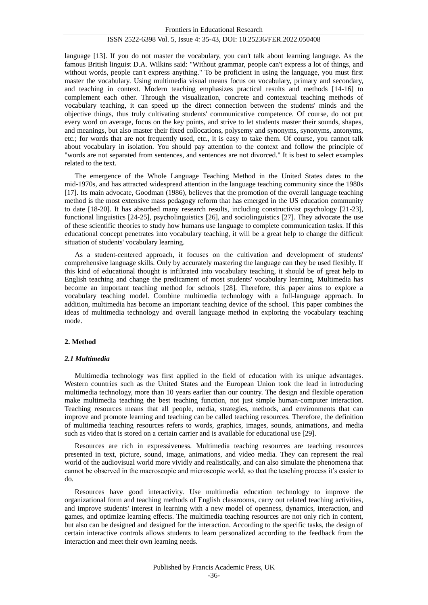language [13]. If you do not master the vocabulary, you can't talk about learning language. As the famous British linguist D.A. Wilkins said: "Without grammar, people can't express a lot of things, and without words, people can't express anything." To be proficient in using the language, you must first master the vocabulary. Using multimedia visual means focus on vocabulary, primary and secondary, and teaching in context. Modern teaching emphasizes practical results and methods [14-16] to complement each other. Through the visualization, concrete and contextual teaching methods of vocabulary teaching, it can speed up the direct connection between the students' minds and the objective things, thus truly cultivating students' communicative competence. Of course, do not put every word on average, focus on the key points, and strive to let students master their sounds, shapes, and meanings, but also master their fixed collocations, polysemy and synonyms, synonyms, antonyms, etc.; for words that are not frequently used, etc., it is easy to take them. Of course, you cannot talk about vocabulary in isolation. You should pay attention to the context and follow the principle of "words are not separated from sentences, and sentences are not divorced." It is best to select examples related to the text.

The emergence of the Whole Language Teaching Method in the United States dates to the mid-1970s, and has attracted widespread attention in the language teaching community since the 1980s [17]. Its main advocate, Goodman (1986), believes that the promotion of the overall language teaching method is the most extensive mass pedagogy reform that has emerged in the US education community to date [18-20]. It has absorbed many research results, including constructivist psychology [21-23], functional linguistics [24-25], psycholinguistics [26], and sociolinguistics [27]. They advocate the use of these scientific theories to study how humans use language to complete communication tasks. If this educational concept penetrates into vocabulary teaching, it will be a great help to change the difficult situation of students' vocabulary learning.

As a student-centered approach, it focuses on the cultivation and development of students' comprehensive language skills. Only by accurately mastering the language can they be used flexibly. If this kind of educational thought is infiltrated into vocabulary teaching, it should be of great help to English teaching and change the predicament of most students' vocabulary learning. Multimedia has become an important teaching method for schools [28]. Therefore, this paper aims to explore a vocabulary teaching model. Combine multimedia technology with a full-language approach. In addition, multimedia has become an important teaching device of the school. This paper combines the ideas of multimedia technology and overall language method in exploring the vocabulary teaching mode.

#### **2. Method**

#### *2.1 Multimedia*

Multimedia technology was first applied in the field of education with its unique advantages. Western countries such as the United States and the European Union took the lead in introducing multimedia technology, more than 10 years earlier than our country. The design and flexible operation make multimedia teaching the best teaching function, not just simple human-computer interaction. Teaching resources means that all people, media, strategies, methods, and environments that can improve and promote learning and teaching can be called teaching resources. Therefore, the definition of multimedia teaching resources refers to words, graphics, images, sounds, animations, and media such as video that is stored on a certain carrier and is available for educational use [29].

Resources are rich in expressiveness. Multimedia teaching resources are teaching resources presented in text, picture, sound, image, animations, and video media. They can represent the real world of the audiovisual world more vividly and realistically, and can also simulate the phenomena that cannot be observed in the macroscopic and microscopic world, so that the teaching process it's easier to do.

Resources have good interactivity. Use multimedia education technology to improve the organizational form and teaching methods of English classrooms, carry out related teaching activities, and improve students' interest in learning with a new model of openness, dynamics, interaction, and games, and optimize learning effects. The multimedia teaching resources are not only rich in content, but also can be designed and designed for the interaction. According to the specific tasks, the design of certain interactive controls allows students to learn personalized according to the feedback from the interaction and meet their own learning needs.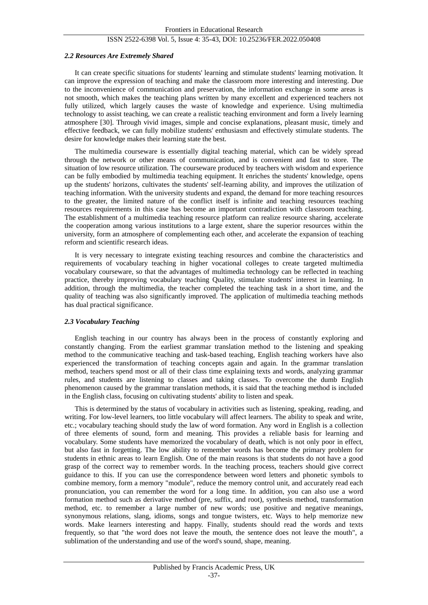#### *2.2 Resources Are Extremely Shared*

It can create specific situations for students' learning and stimulate students' learning motivation. It can improve the expression of teaching and make the classroom more interesting and interesting. Due to the inconvenience of communication and preservation, the information exchange in some areas is not smooth, which makes the teaching plans written by many excellent and experienced teachers not fully utilized, which largely causes the waste of knowledge and experience. Using multimedia technology to assist teaching, we can create a realistic teaching environment and form a lively learning atmosphere [30]. Through vivid images, simple and concise explanations, pleasant music, timely and effective feedback, we can fully mobilize students' enthusiasm and effectively stimulate students. The desire for knowledge makes their learning state the best.

The multimedia courseware is essentially digital teaching material, which can be widely spread through the network or other means of communication, and is convenient and fast to store. The situation of low resource utilization. The courseware produced by teachers with wisdom and experience can be fully embodied by multimedia teaching equipment. It enriches the students' knowledge, opens up the students' horizons, cultivates the students' self-learning ability, and improves the utilization of teaching information. With the university students and expand, the demand for more teaching resources to the greater, the limited nature of the conflict itself is infinite and teaching resources teaching resources requirements in this case has become an important contradiction with classroom teaching. The establishment of a multimedia teaching resource platform can realize resource sharing, accelerate the cooperation among various institutions to a large extent, share the superior resources within the university, form an atmosphere of complementing each other, and accelerate the expansion of teaching reform and scientific research ideas.

It is very necessary to integrate existing teaching resources and combine the characteristics and requirements of vocabulary teaching in higher vocational colleges to create targeted multimedia vocabulary courseware, so that the advantages of multimedia technology can be reflected in teaching practice, thereby improving vocabulary teaching Quality, stimulate students' interest in learning. In addition, through the multimedia, the teacher completed the teaching task in a short time, and the quality of teaching was also significantly improved. The application of multimedia teaching methods has dual practical significance.

#### *2.3 Vocabulary Teaching*

English teaching in our country has always been in the process of constantly exploring and constantly changing. From the earliest grammar translation method to the listening and speaking method to the communicative teaching and task-based teaching, English teaching workers have also experienced the transformation of teaching concepts again and again. In the grammar translation method, teachers spend most or all of their class time explaining texts and words, analyzing grammar rules, and students are listening to classes and taking classes. To overcome the dumb English phenomenon caused by the grammar translation methods, it is said that the teaching method is included in the English class, focusing on cultivating students' ability to listen and speak.

This is determined by the status of vocabulary in activities such as listening, speaking, reading, and writing. For low-level learners, too little vocabulary will affect learners. The ability to speak and write, etc.; vocabulary teaching should study the law of word formation. Any word in English is a collection of three elements of sound, form and meaning. This provides a reliable basis for learning and vocabulary. Some students have memorized the vocabulary of death, which is not only poor in effect, but also fast in forgetting. The low ability to remember words has become the primary problem for students in ethnic areas to learn English. One of the main reasons is that students do not have a good grasp of the correct way to remember words. In the teaching process, teachers should give correct guidance to this. If you can use the correspondence between word letters and phonetic symbols to combine memory, form a memory "module", reduce the memory control unit, and accurately read each pronunciation, you can remember the word for a long time. In addition, you can also use a word formation method such as derivative method (pre, suffix, and root), synthesis method, transformation method, etc. to remember a large number of new words; use positive and negative meanings, synonymous relations, slang, idioms, songs and tongue twisters, etc. Ways to help memorize new words. Make learners interesting and happy. Finally, students should read the words and texts frequently, so that "the word does not leave the mouth, the sentence does not leave the mouth", a sublimation of the understanding and use of the word's sound, shape, meaning.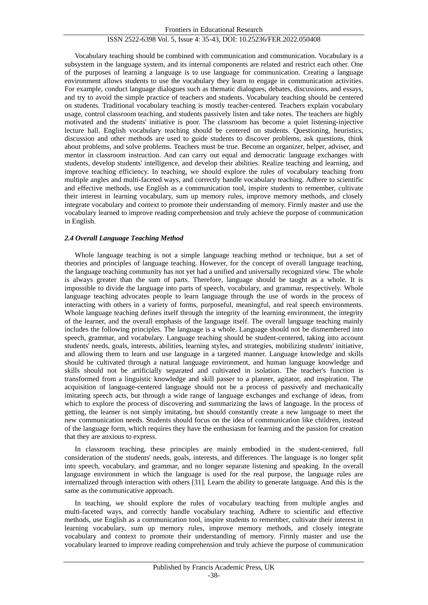Vocabulary teaching should be combined with communication and communication. Vocabulary is a subsystem in the language system, and its internal components are related and restrict each other. One of the purposes of learning a language is to use language for communication. Creating a language environment allows students to use the vocabulary they learn to engage in communication activities. For example, conduct language dialogues such as thematic dialogues, debates, discussions, and essays, and try to avoid the simple practice of teachers and students. Vocabulary teaching should be centered on students. Traditional vocabulary teaching is mostly teacher-centered. Teachers explain vocabulary usage, control classroom teaching, and students passively listen and take notes. The teachers are highly motivated and the students' initiative is poor. The classroom has become a quiet listening-injective lecture hall. English vocabulary teaching should be centered on students. Questioning, heuristics, discussion and other methods are used to guide students to discover problems, ask questions, think about problems, and solve problems. Teachers must be true. Become an organizer, helper, adviser, and mentor in classroom instruction. And can carry out equal and democratic language exchanges with students, develop students' intelligence, and develop their abilities. Realize teaching and learning, and improve teaching efficiency. In teaching, we should explore the rules of vocabulary teaching from multiple angles and multi-faceted ways, and correctly handle vocabulary teaching. Adhere to scientific and effective methods, use English as a communication tool, inspire students to remember, cultivate their interest in learning vocabulary, sum up memory rules, improve memory methods, and closely integrate vocabulary and context to promote their understanding of memory. Firmly master and use the vocabulary learned to improve reading comprehension and truly achieve the purpose of communication in English.

#### *2.4 Overall Language Teaching Method*

Whole language teaching is not a simple language teaching method or technique, but a set of theories and principles of language teaching. However, for the concept of overall language teaching, the language teaching community has not yet had a unified and universally recognized view. The whole is always greater than the sum of parts. Therefore, language should be taught as a whole. It is impossible to divide the language into parts of speech, vocabulary, and grammar, respectively. Whole language teaching advocates people to learn language through the use of words in the process of interacting with others in a variety of forms, purposeful, meaningful, and real speech environments. Whole language teaching defines itself through the integrity of the learning environment, the integrity of the learner, and the overall emphasis of the language itself. The overall language teaching mainly includes the following principles. The language is a whole. Language should not be dismembered into speech, grammar, and vocabulary. Language teaching should be student-centered, taking into account students' needs, goals, interests, abilities, learning styles, and strategies, mobilizing students' initiative, and allowing them to learn and use language in a targeted manner. Language knowledge and skills should be cultivated through a natural language environment, and human language knowledge and skills should not be artificially separated and cultivated in isolation. The teacher's function is transformed from a linguistic knowledge and skill passer to a planner, agitator, and inspiration. The acquisition of language-centered language should not be a process of passively and mechanically imitating speech acts, but through a wide range of language exchanges and exchange of ideas, from which to explore the process of discovering and summarizing the laws of language. In the process of getting, the learner is not simply imitating, but should constantly create a new language to meet the new communication needs. Students should focus on the idea of communication like children, instead of the language form, which requires they have the enthusiasm for learning and the passion for creation that they are anxious to express.

In classroom teaching, these principles are mainly embodied in the student-centered, full consideration of the students' needs, goals, interests, and differences. The language is no longer split into speech, vocabulary, and grammar, and no longer separate listening and speaking. In the overall language environment in which the language is used for the real purpose, the language rules are internalized through interaction with others [31]. Learn the ability to generate language. And this is the same as the communicative approach.

In teaching, we should explore the rules of vocabulary teaching from multiple angles and multi-faceted ways, and correctly handle vocabulary teaching. Adhere to scientific and effective methods, use English as a communication tool, inspire students to remember, cultivate their interest in learning vocabulary, sum up memory rules, improve memory methods, and closely integrate vocabulary and context to promote their understanding of memory. Firmly master and use the vocabulary learned to improve reading comprehension and truly achieve the purpose of communication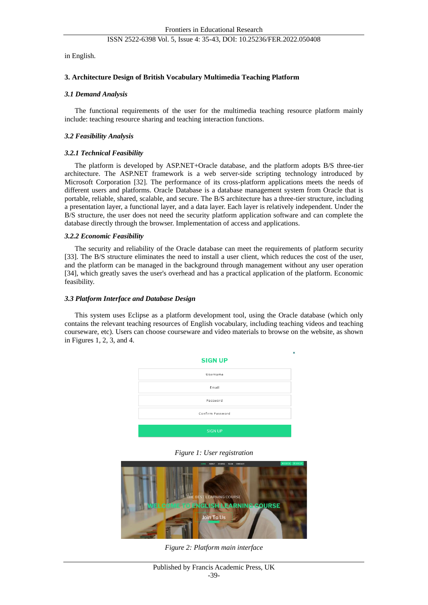in English.

#### **3. Architecture Design of British Vocabulary Multimedia Teaching Platform**

#### *3.1 Demand Analysis*

The functional requirements of the user for the multimedia teaching resource platform mainly include: teaching resource sharing and teaching interaction functions.

#### *3.2 Feasibility Analysis*

# *3.2.1 Technical Feasibility*

The platform is developed by ASP.NET+Oracle database, and the platform adopts B/S three-tier architecture. The ASP.NET framework is a web server-side scripting technology introduced by Microsoft Corporation [32]. The performance of its cross-platform applications meets the needs of different users and platforms. Oracle Database is a database management system from Oracle that is portable, reliable, shared, scalable, and secure. The B/S architecture has a three-tier structure, including a presentation layer, a functional layer, and a data layer. Each layer is relatively independent. Under the B/S structure, the user does not need the security platform application software and can complete the database directly through the browser. Implementation of access and applications.

#### *3.2.2 Economic Feasibility*

The security and reliability of the Oracle database can meet the requirements of platform security [33]. The B/S structure eliminates the need to install a user client, which reduces the cost of the user, and the platform can be managed in the background through management without any user operation [34], which greatly saves the user's overhead and has a practical application of the platform. Economic feasibility.

#### *3.3 Platform Interface and Database Design*

This system uses Eclipse as a platform development tool, using the Oracle database (which only contains the relevant teaching resources of English vocabulary, including teaching videos and teaching courseware, etc). Users can choose courseware and video materials to browse on the website, as shown in Figures 1, 2, 3, and 4.



*Figure 1: User registration*



*Figure 2: Platform main interface*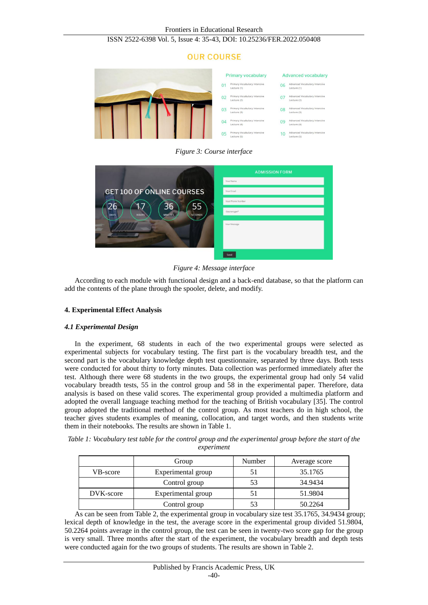# **OUR COURSE**



*Figure 3: Course interface*

|                                                                                          | <b>ADMISSION FORM</b> |  |
|------------------------------------------------------------------------------------------|-----------------------|--|
|                                                                                          | Your Name             |  |
| <b>GET 100 OF ONLINE COURSES</b>                                                         | Your Email            |  |
| 55<br>26<br>36<br><b>SECONDS</b><br><b>HOURS</b><br><b>DAYS</b><br><b>MINUTES</b><br>--- | Your Phone Number     |  |
|                                                                                          | Course type*          |  |
|                                                                                          | Your Message          |  |
|                                                                                          | Send                  |  |

*Figure 4: Message interface*

According to each module with functional design and a back-end database, so that the platform can add the contents of the plane through the spooler, delete, and modify.

# **4. Experimental Effect Analysis**

# *4.1 Experimental Design*

In the experiment, 68 students in each of the two experimental groups were selected as experimental subjects for vocabulary testing. The first part is the vocabulary breadth test, and the second part is the vocabulary knowledge depth test questionnaire, separated by three days. Both tests were conducted for about thirty to forty minutes. Data collection was performed immediately after the test. Although there were 68 students in the two groups, the experimental group had only 54 valid vocabulary breadth tests, 55 in the control group and 58 in the experimental paper. Therefore, data analysis is based on these valid scores. The experimental group provided a multimedia platform and adopted the overall language teaching method for the teaching of British vocabulary [35]. The control group adopted the traditional method of the control group. As most teachers do in high school, the teacher gives students examples of meaning, collocation, and target words, and then students write them in their notebooks. The results are shown in Table 1.

| Table 1: Vocabulary test table for the control group and the experimental group before the start of the |
|---------------------------------------------------------------------------------------------------------|
| experiment                                                                                              |

|           | Group              | Number | Average score |
|-----------|--------------------|--------|---------------|
| VB-score  | Experimental group | 51     | 35.1765       |
|           | Control group      | 53     | 34.9434       |
| DVK-score | Experimental group | 51     | 51.9804       |
|           | Control group      | 53     | 50.2264       |

As can be seen from Table 2, the experimental group in vocabulary size test 35.1765, 34.9434 group; lexical depth of knowledge in the test, the average score in the experimental group divided 51.9804, 50.2264 points average in the control group, the test can be seen in twenty-two score gap for the group is very small. Three months after the start of the experiment, the vocabulary breadth and depth tests were conducted again for the two groups of students. The results are shown in Table 2.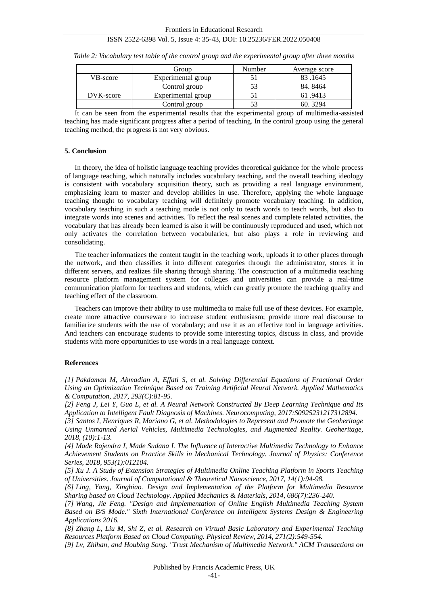|           | Group              | Number | Average score |
|-----------|--------------------|--------|---------------|
| VB-score  | Experimental group |        | 83.1645       |
|           | Control group      | 53     | 84.8464       |
| DVK-score | Experimental group |        | 61.9413       |
|           | Control group      |        | 60.3294       |

*Table 2: Vocabulary test table of the control group and the experimental group after three months*

It can be seen from the experimental results that the experimental group of multimedia-assisted teaching has made significant progress after a period of teaching. In the control group using the general teaching method, the progress is not very obvious.

#### **5. Conclusion**

In theory, the idea of holistic language teaching provides theoretical guidance for the whole process of language teaching, which naturally includes vocabulary teaching, and the overall teaching ideology is consistent with vocabulary acquisition theory, such as providing a real language environment, emphasizing learn to master and develop abilities in use. Therefore, applying the whole language teaching thought to vocabulary teaching will definitely promote vocabulary teaching. In addition, vocabulary teaching in such a teaching mode is not only to teach words to teach words, but also to integrate words into scenes and activities. To reflect the real scenes and complete related activities, the vocabulary that has already been learned is also it will be continuously reproduced and used, which not only activates the correlation between vocabularies, but also plays a role in reviewing and consolidating.

The teacher informatizes the content taught in the teaching work, uploads it to other places through the network, and then classifies it into different categories through the administrator, stores it in different servers, and realizes file sharing through sharing. The construction of a multimedia teaching resource platform management system for colleges and universities can provide a real-time communication platform for teachers and students, which can greatly promote the teaching quality and teaching effect of the classroom.

Teachers can improve their ability to use multimedia to make full use of these devices. For example, create more attractive courseware to increase student enthusiasm; provide more real discourse to familiarize students with the use of vocabulary; and use it as an effective tool in language activities. And teachers can encourage students to provide some interesting topics, discuss in class, and provide students with more opportunities to use words in a real language context.

#### **References**

*[1] Pakdaman M, Ahmadian A, Effati S, et al. Solving Differential Equations of Fractional Order Using an Optimization Technique Based on Training Artificial Neural Network. Applied Mathematics & Computation, 2017, 293(C):81-95.*

*[2] Feng J, Lei Y, Guo L, et al. A Neural Network Constructed By Deep Learning Technique and Its Application to Intelligent Fault Diagnosis of Machines. Neurocomputing, 2017:S0925231217312894.*

*[3] Santos I, Henriques R, Mariano G, et al. Methodologies to Represent and Promote the Geoheritage Using Unmanned Aerial Vehicles, Multimedia Technologies, and Augmented Reality. Geoheritage, 2018, (10):1-13.*

*[4] Made Rajendra I, Made Sudana I. The Influence of Interactive Multimedia Technology to Enhance Achievement Students on Practice Skills in Mechanical Technology. Journal of Physics: Conference Series, 2018, 953(1):012104.*

*[5] Xu J. A Study of Extension Strategies of Multimedia Online Teaching Platform in Sports Teaching of Universities. Journal of Computational & Theoretical Nanoscience, 2017, 14(1):94-98.*

*[6] Ling, Yang, Xingbiao. Design and Implementation of the Platform for Multimedia Resource Sharing based on Cloud Technology. Applied Mechanics & Materials, 2014, 686(7):236-240.*

*[7] Wang, Jie Feng. "Design and Implementation of Online English Multimedia Teaching System Based on B/S Mode." Sixth International Conference on Intelligent Systems Design & Engineering Applications 2016.*

*[8] Zhang L, Liu M, Shi Z, et al. Research on Virtual Basic Laboratory and Experimental Teaching Resources Platform Based on Cloud Computing. Physical Review, 2014, 271(2):549-554.*

*[9] Lv, Zhihan, and Houbing Song. "Trust Mechanism of Multimedia Network." ACM Transactions on*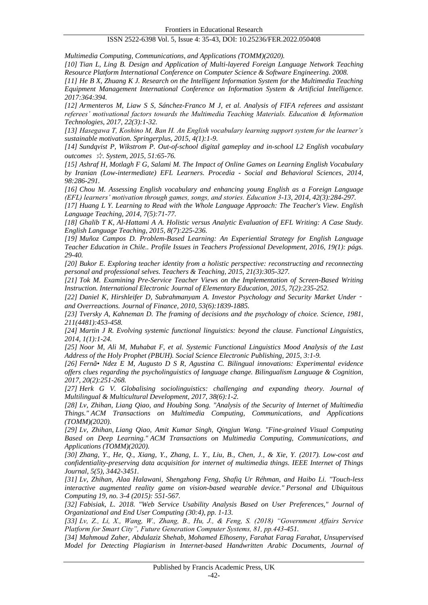*Multimedia Computing, Communications, and Applications (TOMM)(2020).*

*[10] Tian L, Ling B. Design and Application of Multi-layered Foreign Language Network Teaching Resource Platform International Conference on Computer Science & Software Engineering. 2008.*

*[11] He B X, Zhuang K J. Research on the Intelligent Information System for the Multimedia Teaching Equipment Management International Conference on Information System & Artificial Intelligence. 2017:364:394.*

*[12] Armenteros M, Liaw S S, Sánchez-Franco M J, et al. Analysis of FIFA referees and assistant referees' motivational factors towards the Multimedia Teaching Materials. Education & Information Technologies, 2017, 22(3):1-32.*

*[13] Hasegawa T, Koshino M, Ban H. An English vocabulary learning support system for the learner's sustainable motivation. Springerplus, 2015, 4(1):1-9.*

*[14] Sundqvist P, Wikstrom P. Out-of-school digital gameplay and in-school L2 English vocabulary outcomes* ☆*. System, 2015, 51:65-76.*

*[15] Ashraf H, Motlagh F G, Salami M. The Impact of Online Games on Learning English Vocabulary by Iranian (Low-intermediate) EFL Learners. Procedia - Social and Behavioral Sciences, 2014, 98:286-291.*

*[16] Chou M. Assessing English vocabulary and enhancing young English as a Foreign Language (EFL) learners' motivation through games, songs, and stories. Education 3-13, 2014, 42(3):284-297.*

*[17] Huang L Y. Learning to Read with the Whole Language Approach: The Teacher's View. English Language Teaching, 2014, 7(5):71-77.*

*[18] Ghalib T K, Al-Hattami A A. Holistic versus Analytic Evaluation of EFL Writing: A Case Study. English Language Teaching, 2015, 8(7):225-236.*

*[19] Muñoz Campos D. Problem-Based Learning: An Experiential Strategy for English Language Teacher Education in Chile.. Profile Issues in Teachers Professional Development, 2016, 19(1): págs. 29-40.*

*[20] Bukor E. Exploring teacher identity from a holistic perspective: reconstructing and reconnecting personal and professional selves. Teachers & Teaching, 2015, 21(3):305-327.*

*[21] Tok M. Examining Pre-Service Teacher Views on the Implementation of Screen-Based Writing Instruction. International Electronic Journal of Elementary Education, 2015, 7(2):235-252.*

*[22] Daniel K, Hirshleifer D, Subrahmanyam A. Investor Psychology and Security Market Under*‐ *and Overreactions. Journal of Finance, 2010, 53(6):1839-1885.*

*[23] Tversky A, Kahneman D. The framing of decisions and the psychology of choice. Science, 1981, 211(4481):453-458.*

*[24] Martin J R. Evolving systemic functional linguistics: beyond the clause. Functional Linguistics, 2014, 1(1):1-24.*

*[25] Noor M, Ali M, Muhabat F, et al. Systemic Functional Linguistics Mood Analysis of the Last Address of the Holy Prophet (PBUH). Social Science Electronic Publishing, 2015, 3:1-9.*

*[26] Fernã•Ndez E M, Augusto D S R, Agustina C. Bilingual innovations: Experimental evidence offers clues regarding the psycholinguistics of language change. Bilingualism Language & Cognition, 2017, 20(2):251-268.*

*[27] Herk G V. Globalising sociolinguistics: challenging and expanding theory. Journal of Multilingual & Multicultural Development, 2017, 38(6):1-2.*

*[28] Lv, Zhihan, Liang Qiao, and Houbing Song. "Analysis of the Security of Internet of Multimedia Things." ACM Transactions on Multimedia Computing, Communications, and Applications (TOMM)(2020).*

*[29] Lv, Zhihan, Liang Qiao, Amit Kumar Singh, Qingjun Wang. "Fine-grained Visual Computing Based on Deep Learning." ACM Transactions on Multimedia Computing, Communications, and Applications (TOMM)(2020).*

*[30] Zhang, Y., He, Q., Xiang, Y., Zhang, L. Y., Liu, B., Chen, J., & Xie, Y. (2017). Low-cost and confidentiality-preserving data acquisition for internet of multimedia things. IEEE Internet of Things Journal, 5(5), 3442-3451.*

*[31] Lv, Zhihan, Alaa Halawani, Shengzhong Feng, Shafiq Ur Réhman, and Haibo Li. "Touch-less interactive augmented reality game on vision-based wearable device." Personal and Ubiquitous Computing 19, no. 3-4 (2015): 551-567.*

*[32] Fabisiak, L. 2018. "Web Service Usability Analysis Based on User Preferences," Journal of Organizational and End User Computing (30:4), pp. 1-13.*

*[33] Lv, Z., Li, X., Wang, W., Zhang, B., Hu, J., & Feng, S. (2018) "Government Affairs Service Platform for Smart City", Future Generation Computer Systems, 81, pp.443-451.*

*[34] Mahmoud Zaher, Abdulaziz Shehab, Mohamed Elhoseny, Farahat Farag Farahat, Unsupervised Model for Detecting Plagiarism in Internet-based Handwritten Arabic Documents, Journal of*